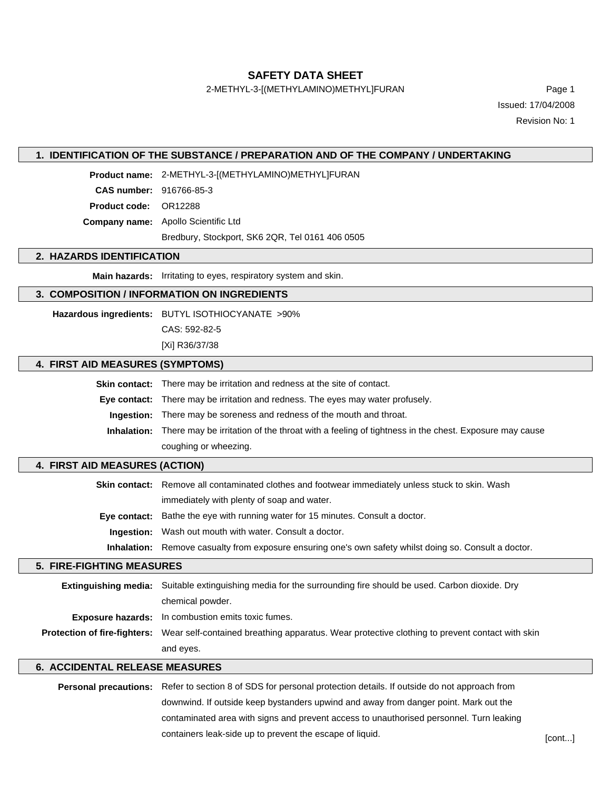**SAFETY DATA SHEET**

2-METHYL-3-[(METHYLAMINO)METHYL]FURAN Page 1

Issued: 17/04/2008 Revision No: 1

## **1. IDENTIFICATION OF THE SUBSTANCE / PREPARATION AND OF THE COMPANY / UNDERTAKING**

**Product name:** 2-METHYL-3-[(METHYLAMINO)METHYL]FURAN

**CAS number:** 916766-85-3

**Product code:** OR12288

**Company name:** Apollo Scientific Ltd

Bredbury, Stockport, SK6 2QR, Tel 0161 406 0505

## **2. HAZARDS IDENTIFICATION**

**Main hazards:** Irritating to eyes, respiratory system and skin.

### **3. COMPOSITION / INFORMATION ON INGREDIENTS**

**Hazardous ingredients:** BUTYL ISOTHIOCYANATE >90%

CAS: 592-82-5

[Xi] R36/37/38

## **4. FIRST AID MEASURES (SYMPTOMS)**

**Skin contact:** There may be irritation and redness at the site of contact.

**Eye contact:** There may be irritation and redness. The eyes may water profusely.

**Ingestion:** There may be soreness and redness of the mouth and throat.

**Inhalation:** There may be irritation of the throat with a feeling of tightness in the chest. Exposure may cause coughing or wheezing.

## **4. FIRST AID MEASURES (ACTION)**

**Skin contact:** Remove all contaminated clothes and footwear immediately unless stuck to skin. Wash immediately with plenty of soap and water. **Eye contact:** Bathe the eye with running water for 15 minutes. Consult a doctor. **Ingestion:** Wash out mouth with water. Consult a doctor.

**Inhalation:** Remove casualty from exposure ensuring one's own safety whilst doing so. Consult a doctor.

### **5. FIRE-FIGHTING MEASURES**

| <b>Extinguishing media:</b> Suitable extinguishing media for the surrounding fire should be used. Carbon dioxide. Dry              |  |
|------------------------------------------------------------------------------------------------------------------------------------|--|
| chemical powder.                                                                                                                   |  |
| <b>Exposure hazards:</b> In combustion emits toxic fumes.                                                                          |  |
| <b>Protection of fire-fighters:</b> Wear self-contained breathing apparatus. Wear protective clothing to prevent contact with skin |  |
| and eyes.                                                                                                                          |  |

#### **6. ACCIDENTAL RELEASE MEASURES**

**Personal precautions:** Refer to section 8 of SDS for personal protection details. If outside do not approach from downwind. If outside keep bystanders upwind and away from danger point. Mark out the contaminated area with signs and prevent access to unauthorised personnel. Turn leaking containers leak-side up to prevent the escape of liquid.  $[cont...]$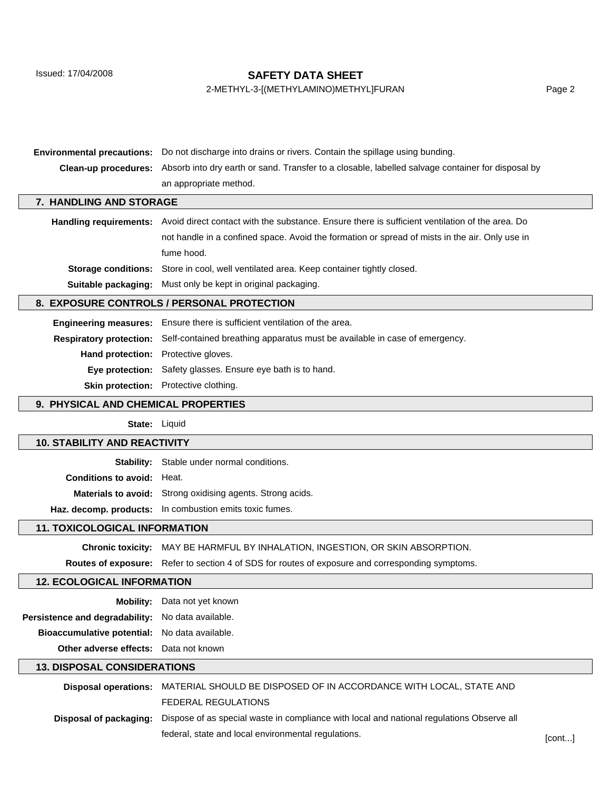Issued: 17/04/2008

## **SAFETY DATA SHEET**

# 2-METHYL-3-[(METHYLAMINO)METHYL]FURAN Page 2

| <b>Environmental precautions:</b> Do not discharge into drains or rivers. Contain the spillage using bunding. |                                                                                                                               |  |
|---------------------------------------------------------------------------------------------------------------|-------------------------------------------------------------------------------------------------------------------------------|--|
|                                                                                                               | <b>Clean-up procedures:</b> Absorb into dry earth or sand. Transfer to a closable, labelled salvage container for disposal by |  |
| an appropriate method.                                                                                        |                                                                                                                               |  |
| 7. HANDLING AND STORAGE                                                                                       |                                                                                                                               |  |

| Handling requirements: Avoid direct contact with the substance. Ensure there is sufficient ventilation of the area. Do |  |  |
|------------------------------------------------------------------------------------------------------------------------|--|--|
| not handle in a confined space. Avoid the formation or spread of mists in the air. Only use in                         |  |  |
| fume hood.                                                                                                             |  |  |
| <b>Storage conditions:</b> Store in cool, well ventilated area. Keep container tightly closed.                         |  |  |
| <b>Suitable packaging:</b> Must only be kept in original packaging.                                                    |  |  |

## **8. EXPOSURE CONTROLS / PERSONAL PROTECTION**

**Engineering measures:** Ensure there is sufficient ventilation of the area. **Respiratory protection:** Self-contained breathing apparatus must be available in case of emergency. **Hand protection:** Protective gloves. **Eye protection:** Safety glasses. Ensure eye bath is to hand. **Skin protection:** Protective clothing.

### **9. PHYSICAL AND CHEMICAL PROPERTIES**

**State:** Liquid

### **10. STABILITY AND REACTIVITY**

|                                   | <b>Stability:</b> Stable under normal conditions. |
|-----------------------------------|---------------------------------------------------|
| <b>Conditions to avoid: Heat.</b> |                                                   |

**Materials to avoid:** Strong oxidising agents. Strong acids.

**Haz. decomp. products:** In combustion emits toxic fumes.

## **11. TOXICOLOGICAL INFORMATION**

**Chronic toxicity:** MAY BE HARMFUL BY INHALATION, INGESTION, OR SKIN ABSORPTION.

**Routes of exposure:** Refer to section 4 of SDS for routes of exposure and corresponding symptoms.

### **12. ECOLOGICAL INFORMATION**

|                                                          | <b>Mobility:</b> Data not yet known |
|----------------------------------------------------------|-------------------------------------|
| <b>Persistence and degradability:</b> No data available. |                                     |
| <b>Bioaccumulative potential:</b> No data available.     |                                     |
| <b>Other adverse effects:</b> Data not known             |                                     |

### **13. DISPOSAL CONSIDERATIONS**

| Disposal operations: MATERIAL SHOULD BE DISPOSED OF IN ACCORDANCE WITH LOCAL, STATE AND                          |        |
|------------------------------------------------------------------------------------------------------------------|--------|
| FEDERAL REGULATIONS                                                                                              |        |
| Disposal of packaging: Dispose of as special waste in compliance with local and national regulations Observe all |        |
| federal, state and local environmental regulations.                                                              | [cont] |